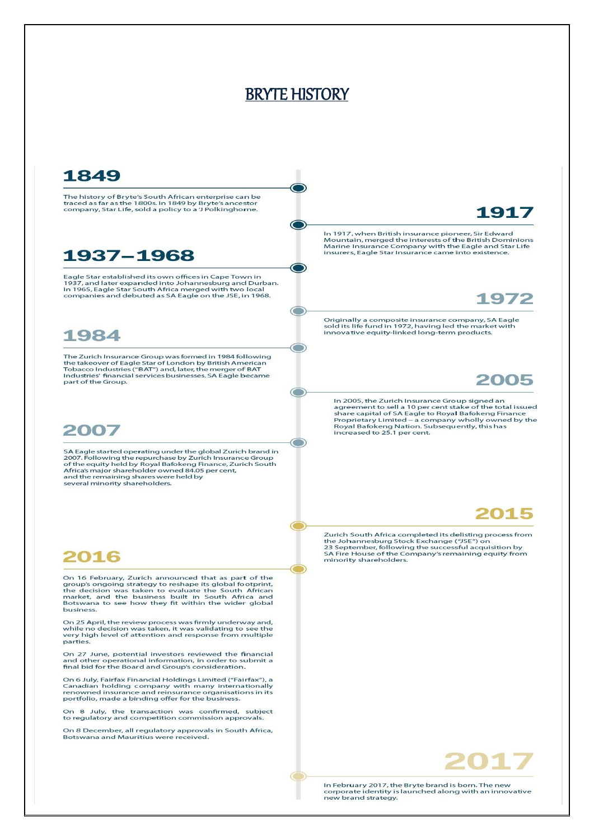## BRYTE HISTORY